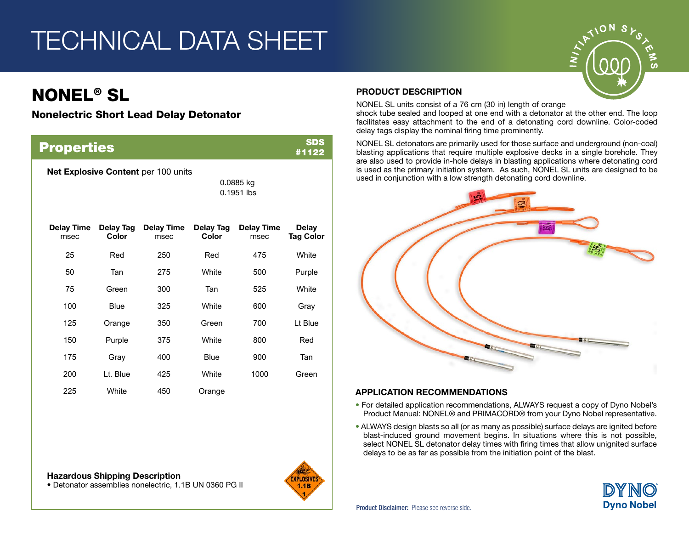# TECHNICAL DATA SHEET

## NONEL® SL

#### Nonelectric Short Lead Delay Detonator

| <b>SDS</b><br><b>Properties</b><br>#1122 |                    |                           |                           |                           |                           |  |
|------------------------------------------|--------------------|---------------------------|---------------------------|---------------------------|---------------------------|--|
| Net Explosive Content per 100 units      |                    |                           | 0.0885 kg<br>$0.1951$ lbs |                           |                           |  |
| <b>Delay Time</b><br>msec                | Delay Tag<br>Color | <b>Delay Time</b><br>msec | Delay Tag<br>Color        | <b>Delay Time</b><br>msec | Delay<br><b>Tag Color</b> |  |
| 25                                       | Red                | 250                       | Red                       | 475                       | White                     |  |
| 50                                       | Tan                | 275                       | White                     | 500                       | Purple                    |  |
| 75                                       | Green              | 300                       | Tan                       | 525                       | White                     |  |
| 100                                      | Blue               | 325                       | White                     | 600                       | Grav                      |  |
| 125                                      | Orange             | 350                       | Green                     | 700                       | Lt Blue                   |  |
| 150                                      | Purple             | 375                       | White                     | 800                       | Red                       |  |
| 175                                      | Gray               | 400                       | Blue                      | 900                       | Tan                       |  |
| 200                                      | Lt. Blue           | 425                       | White                     | 1000                      | Green                     |  |
| 225                                      | White              | 450                       | Orange                    |                           |                           |  |

Hazardous Shipping Description • Detonator assemblies nonelectric, 1.1B UN 0360 PG II



#### PRODUCT DESCRIPTION

NONEL SL units consist of a 76 cm (30 in) length of orange

shock tube sealed and looped at one end with a detonator at the other end. The loop facilitates easy attachment to the end of a detonating cord downline. Color-coded delay tags display the nominal firing time prominently.

NONEL SL detonators are primarily used for those surface and underground (non-coal) blasting applications that require multiple explosive decks in a single borehole. They are also used to provide in-hole delays in blasting applications where detonating cord is used as the primary initiation system. As such, NONEL SL units are designed to be used in conjunction with a low strength detonating cord downline.



#### **APPLICATION RECOMMENDATIONS**

- For detailed application recommendations, ALWAYS request a copy of Dyno Nobel's Product Manual: NONEL® and PRIMACORD® from your Dyno Nobel representative.
- ALWAYS design blasts so all (or as many as possible) surface delays are ignited before blast-induced ground movement begins. In situations where this is not possible, select NONEL SL detonator delay times with firing times that allow unignited surface delays to be as far as possible from the initiation point of the blast.